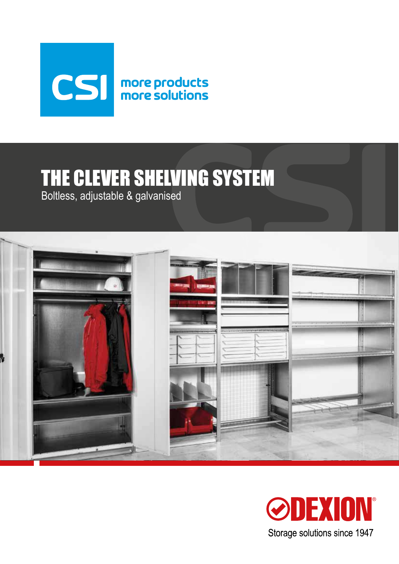

# THE CLEVER SHELVING SYSTEM

Boltless, adjustable & galvanised